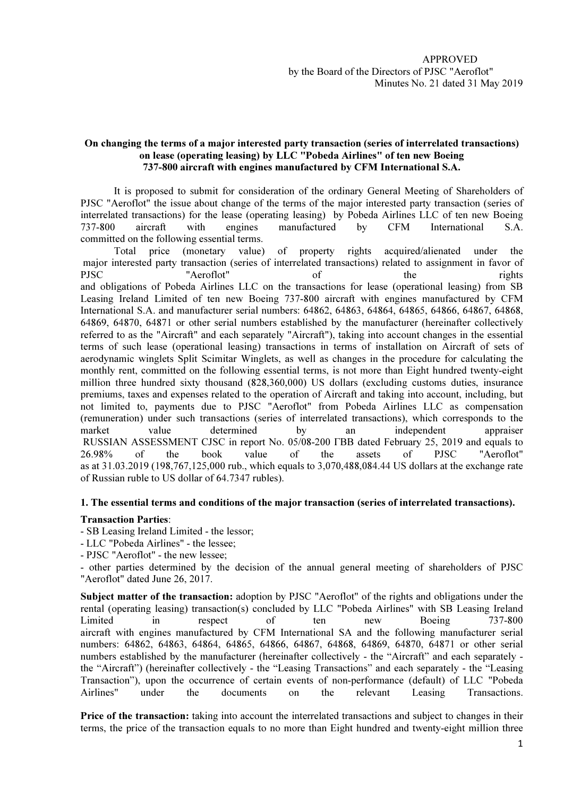## On changing the terms of a major interested party transaction (series of interrelated transactions) on lease (operating leasing) by LLC "Pobeda Airlines" of ten new Boeing 737-800 aircraft with engines manufactured by CFM International S.A.

It is proposed to submit for consideration of the ordinary General Meeting of Shareholders of PJSC "Aeroflot" the issue about change of the terms of the major interested party transaction (series of interrelated transactions) for the lease (operating leasing) by Pobeda Airlines LLC of ten new Boeing 737-800 aircraft with engines manufactured by CFM International S.A. committed on the following essential terms.

Total price (monetary value) of property rights acquired/alienated under the major interested party transaction (series of interrelated transactions) related to assignment in favor of PJSC "Aeroflot" of the rights and obligations of Pobeda Airlines LLC on the transactions for lease (operational leasing) from SB Leasing Ireland Limited of ten new Boeing 737-800 aircraft with engines manufactured by CFM International S.A. and manufacturer serial numbers: 64862, 64863, 64864, 64865, 64866, 64867, 64868, 64869, 64870, 64871 or other serial numbers established by the manufacturer (hereinafter collectively referred to as the "Aircraft" and each separately "Aircraft"), taking into account changes in the essential terms of such lease (operational leasing) transactions in terms of installation on Aircraft of sets of aerodynamic winglets Split Scimitar Winglets, as well as changes in the procedure for calculating the monthly rent, committed on the following essential terms, is not more than Eight hundred twenty-eight million three hundred sixty thousand (828,360,000) US dollars (excluding customs duties, insurance premiums, taxes and expenses related to the operation of Aircraft and taking into account, including, but not limited to, payments due to PJSC "Aeroflot" from Pobeda Airlines LLC as compensation (remuneration) under such transactions (series of interrelated transactions), which corresponds to the market value determined by an independent appraiser RUSSIAN ASSESSMENT CJSC in report No. 05/08-200 ГВВ dated February 25, 2019 and equals to 26.98% of the book value of the assets of PJSC "Aeroflot" as at 31.03.2019 (198,767,125,000 rub., which equals to 3,070,488,084.44 US dollars at the exchange rate of Russian ruble to US dollar of 64.7347 rubles).

## 1. The essential terms and conditions of the major transaction (series of interrelated transactions).

## Transaction Parties:

- SB Leasing Ireland Limited - the lessor;

- LLC "Pobeda Airlines" - the lessee;

- PJSC "Aeroflot" - the new lessee;

- other parties determined by the decision of the annual general meeting of shareholders of PJSC "Aeroflot" dated June 26, 2017.

Subject matter of the transaction: adoption by PJSC "Aeroflot" of the rights and obligations under the rental (operating leasing) transaction(s) concluded by LLC "Pobeda Airlines" with SB Leasing Ireland Limited in respect of ten new Boeing 737-800 aircraft with engines manufactured by CFM International SA and the following manufacturer serial numbers: 64862, 64863, 64864, 64865, 64866, 64867, 64868, 64869, 64870, 64871 or other serial numbers established by the manufacturer (hereinafter collectively - the "Aircraft" and each separately the "Aircraft") (hereinafter collectively - the "Leasing Transactions" and each separately - the "Leasing Transaction"), upon the occurrence of certain events of non-performance (default) of LLC "Pobeda Airlines" under the documents on the relevant Leasing Transactions.

Price of the transaction: taking into account the interrelated transactions and subject to changes in their terms, the price of the transaction equals to no more than Eight hundred and twenty-eight million three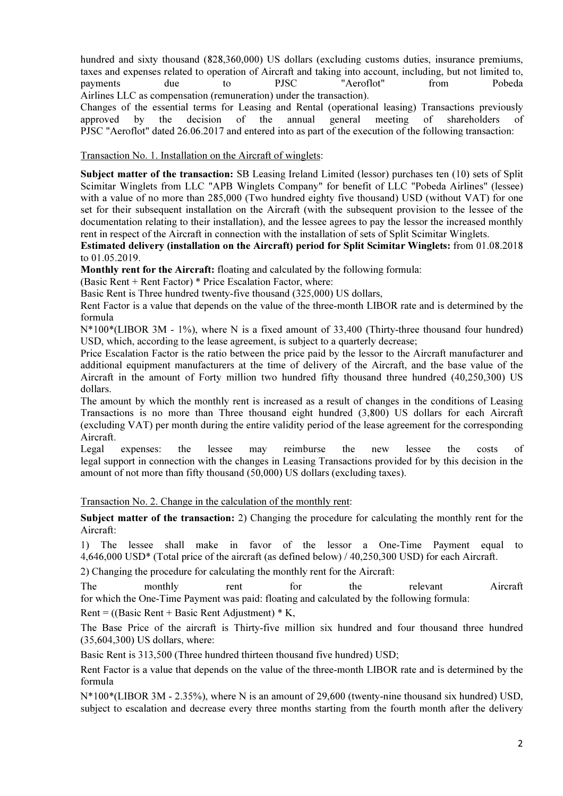hundred and sixty thousand (828,360,000) US dollars (excluding customs duties, insurance premiums, taxes and expenses related to operation of Aircraft and taking into account, including, but not limited to, payments due to PJSC "Aeroflot" from Pobeda Airlines LLC as compensation (remuneration) under the transaction).

Changes of the essential terms for Leasing and Rental (operational leasing) Transactions previously approved by the decision of the annual general meeting of shareholders of PJSC "Aeroflot" dated 26.06.2017 and entered into as part of the execution of the following transaction:

Transaction No. 1. Installation on the Aircraft of winglets:

Subject matter of the transaction: SB Leasing Ireland Limited (lessor) purchases ten (10) sets of Split Scimitar Winglets from LLC "APB Winglets Company" for benefit of LLC "Pobeda Airlines" (lessee) with a value of no more than 285,000 (Two hundred eighty five thousand) USD (without VAT) for one set for their subsequent installation on the Aircraft (with the subsequent provision to the lessee of the documentation relating to their installation), and the lessee agrees to pay the lessor the increased monthly rent in respect of the Aircraft in connection with the installation of sets of Split Scimitar Winglets.

Estimated delivery (installation on the Aircraft) period for Split Scimitar Winglets: from 01.08.2018 to 01.05.2019.

Monthly rent for the Aircraft: floating and calculated by the following formula:

(Basic Rent + Rent Factor) \* Price Escalation Factor, where:

Basic Rent is Three hundred twenty-five thousand (325,000) US dollars,

Rent Factor is a value that depends on the value of the three-month LIBOR rate and is determined by the formula

N<sup>\*</sup>100<sup>\*</sup>(LIBOR 3M - 1%), where N is a fixed amount of 33,400 (Thirty-three thousand four hundred) USD, which, according to the lease agreement, is subject to a quarterly decrease;

Price Escalation Factor is the ratio between the price paid by the lessor to the Aircraft manufacturer and additional equipment manufacturers at the time of delivery of the Aircraft, and the base value of the Aircraft in the amount of Forty million two hundred fifty thousand three hundred (40,250,300) US dollars.

The amount by which the monthly rent is increased as a result of changes in the conditions of Leasing Transactions is no more than Three thousand eight hundred (3,800) US dollars for each Aircraft (excluding VAT) per month during the entire validity period of the lease agreement for the corresponding Aircraft.

Legal expenses: the lessee may reimburse the new lessee the costs of legal support in connection with the changes in Leasing Transactions provided for by this decision in the amount of not more than fifty thousand (50,000) US dollars (excluding taxes).

Transaction No. 2. Change in the calculation of the monthly rent:

Subject matter of the transaction: 2) Changing the procedure for calculating the monthly rent for the Aircraft:

1) The lessee shall make in favor of the lessor a One-Time Payment equal to 4,646,000 USD\* (Total price of the aircraft (as defined below) / 40,250,300 USD) for each Aircraft.

2) Changing the procedure for calculating the monthly rent for the Aircraft:

The monthly rent for the relevant Aircraft for which the One-Time Payment was paid: floating and calculated by the following formula:

Rent =  $((Basic Rent + Basic Rent Adjustment) * K,$ 

The Base Price of the aircraft is Thirty-five million six hundred and four thousand three hundred (35,604,300) US dollars, where:

Basic Rent is 313,500 (Three hundred thirteen thousand five hundred) USD;

Rent Factor is a value that depends on the value of the three-month LIBOR rate and is determined by the formula

N\*100\*(LIBOR 3M - 2.35%), where N is an amount of 29,600 (twenty-nine thousand six hundred) USD, subject to escalation and decrease every three months starting from the fourth month after the delivery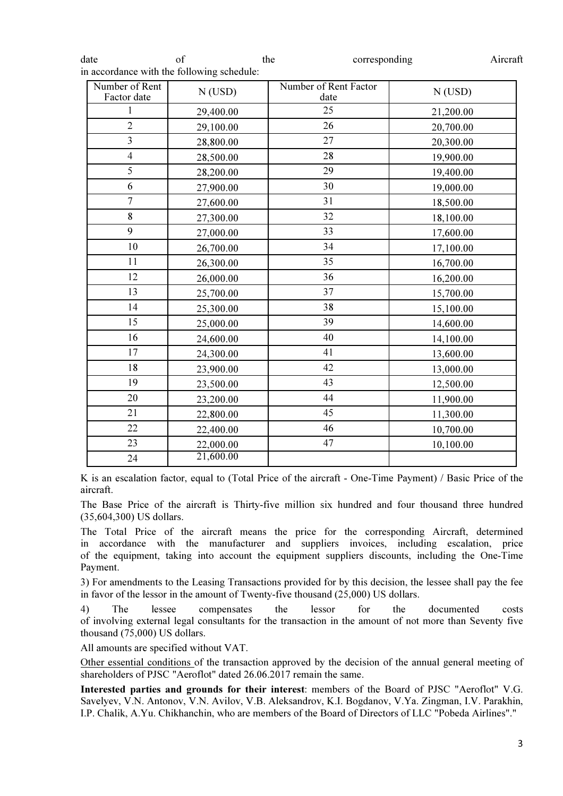| Number of Rent<br>Factor date | $N$ (USD) | Number of Rent Factor<br>date | $N$ (USD) |
|-------------------------------|-----------|-------------------------------|-----------|
| $\mathbf{1}$                  | 29,400.00 | 25                            | 21,200.00 |
| $\overline{2}$                | 29,100.00 | 26                            | 20,700.00 |
| $\overline{3}$                | 28,800.00 | 27                            | 20,300.00 |
| $\overline{4}$                | 28,500.00 | 28                            | 19,900.00 |
| 5                             | 28,200.00 | 29                            | 19,400.00 |
| 6                             | 27,900.00 | 30                            | 19,000.00 |
| $\overline{7}$                | 27,600.00 | 31                            | 18,500.00 |
| 8                             | 27,300.00 | 32                            | 18,100.00 |
| 9                             | 27,000.00 | 33                            | 17,600.00 |
| 10                            | 26,700.00 | 34                            | 17,100.00 |
| 11                            | 26,300.00 | 35                            | 16,700.00 |
| 12                            | 26,000.00 | 36                            | 16,200.00 |
| 13                            | 25,700.00 | 37                            | 15,700.00 |
| 14                            | 25,300.00 | 38                            | 15,100.00 |
| 15                            | 25,000.00 | 39                            | 14,600.00 |
| 16                            | 24,600.00 | 40                            | 14,100.00 |
| 17                            | 24,300.00 | 41                            | 13,600.00 |
| 18                            | 23,900.00 | 42                            | 13,000.00 |
| 19                            | 23,500.00 | 43                            | 12,500.00 |
| 20                            | 23,200.00 | 44                            | 11,900.00 |
| 21                            | 22,800.00 | 45                            | 11,300.00 |
| 22                            | 22,400.00 | 46                            | 10,700.00 |
| 23                            | 22,000.00 | 47                            | 10,100.00 |
| 24                            | 21,600.00 |                               |           |

date of the corresponding Aircraft

K is an escalation factor, equal to (Total Price of the aircraft - One-Time Payment) / Basic Price of the aircraft.

The Base Price of the aircraft is Thirty-five million six hundred and four thousand three hundred (35,604,300) US dollars.

The Total Price of the aircraft means the price for the corresponding Aircraft, determined in accordance with the manufacturer and suppliers invoices, including escalation, price of the equipment, taking into account the equipment suppliers discounts, including the One-Time Payment.

3) For amendments to the Leasing Transactions provided for by this decision, the lessee shall pay the fee in favor of the lessor in the amount of Twenty-five thousand (25,000) US dollars.

4) The lessee compensates the lessor for the documented costs of involving external legal consultants for the transaction in the amount of not more than Seventy five thousand (75,000) US dollars.

All amounts are specified without VAT.

Other essential conditions of the transaction approved by the decision of the annual general meeting of shareholders of PJSC "Aeroflot" dated 26.06.2017 remain the same.

Interested parties and grounds for their interest: members of the Board of PJSC "Aeroflot" V.G. Savelyev, V.N. Antonov, V.N. Avilov, V.B. Aleksandrov, K.I. Bogdanov, V.Ya. Zingman, I.V. Parakhin, I.P. Chalik, A.Yu. Chikhanchin, who are members of the Board of Directors of LLC "Pobeda Airlines"."